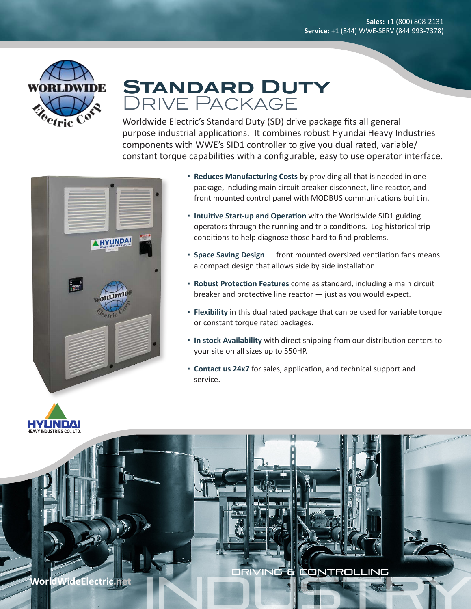

## **Standard Duty** Drive Package

Worldwide Electric's Standard Duty (SD) drive package fits all general purpose industrial applications. It combines robust Hyundai Heavy Industries components with WWE's SID1 controller to give you dual rated, variable/ constant torque capabilities with a configurable, easy to use operator interface.



- **Reduces Manufacturing Costs** by providing all that is needed in one package, including main circuit breaker disconnect, line reactor, and front mounted control panel with MODBUS communications built in.
- **Intuitive Start-up and Operation** with the Worldwide SID1 guiding operators through the running and trip conditions. Log historical trip conditions to help diagnose those hard to find problems.
- **Space Saving Design** front mounted oversized ventilation fans means a compact design that allows side by side installation.
- **Robust Protection Features** come as standard, including a main circuit breaker and protective line reactor — just as you would expect.
- **Flexibility** in this dual rated package that can be used for variable torque or constant torque rated packages.
- **In stock Availability** with direct shipping from our distribution centers to your site on all sizes up to 550HP.
- **Contact us 24x7** for sales, application, and technical support and service.